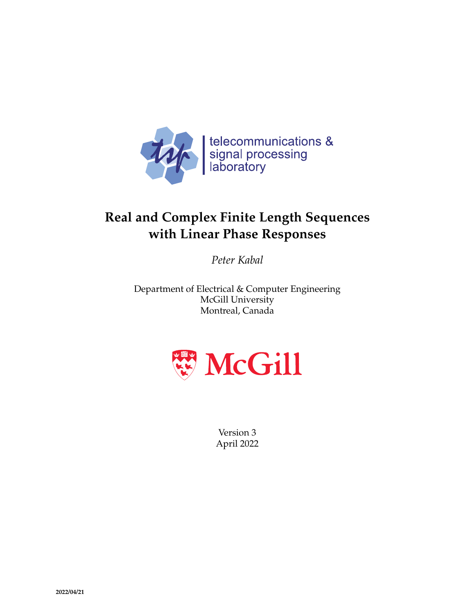

# **Real and Complex Finite Length Sequences with Linear Phase Responses**

*Peter Kabal*

Department of Electrical & Computer Engineering McGill University Montreal, Canada



Version 3 April 2022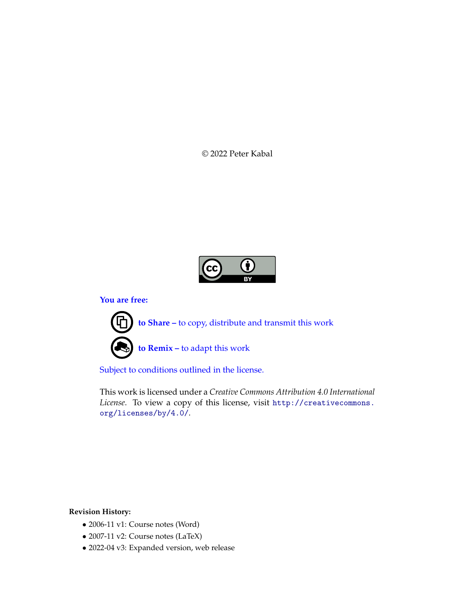© 2022 Peter Kabal



**You are free:**

**to Share –** to copy, distribute and transmit this work **to Remix –** to adapt this work

Subject to conditions outlined in the license.

This work is licensed under a *Creative Commons Attribution 4.0 International License*. To view a copy of this license, visit http://creativecommons. org/licenses/by/4.0/.

**Revision History:**

- 2006-11 v1: Course notes (Word)
- 2007-11 v2: Course notes (LaTeX)
- 2022-04 v3: Expanded version, web release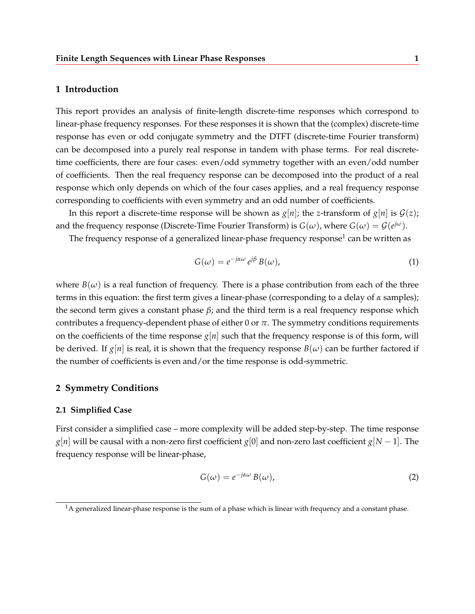## **1 Introduction**

This report provides an analysis of finite-length discrete-time responses which correspond to linear-phase frequency responses. For these responses it is shown that the (complex) discrete-time response has even or odd conjugate symmetry and the DTFT (discrete-time Fourier transform) can be decomposed into a purely real response in tandem with phase terms. For real discretetime coefficients, there are four cases: even/odd symmetry together with an even/odd number of coefficients. Then the real frequency response can be decomposed into the product of a real response which only depends on which of the four cases applies, and a real frequency response corresponding to coefficients with even symmetry and an odd number of coefficients.

In this report a discrete-time response will be shown as  $g[n]$ ; the *z*-transform of  $g[n]$  is  $G(z)$ ; and the frequency response (Discrete-Time Fourier Transform) is  $G(\omega)$ , where  $G(\omega) = \mathcal{G}(e^{j\omega})$ .

The frequency response of a generalized linear-phase frequency response $^1$  can be written as

$$
G(\omega) = e^{-j\alpha\omega} e^{j\beta} B(\omega), \qquad (1)
$$

where  $B(\omega)$  is a real function of frequency. There is a phase contribution from each of the three terms in this equation: the first term gives a linear-phase (corresponding to a delay of *α* samples); the second term gives a constant phase *β*; and the third term is a real frequency response which contributes a frequency-dependent phase of either  $0$  or  $\pi$ . The symmetry conditions requirements on the coefficients of the time response  $g[n]$  such that the frequency response is of this form, will be derived. If  $g[n]$  is real, it is shown that the frequency response  $B(\omega)$  can be further factored if the number of coefficients is even and/or the time response is odd-symmetric.

## **2 Symmetry Conditions**

## **2.1 Simplified Case**

First consider a simplified case – more complexity will be added step-by-step. The time response *g*[*n*] will be causal with a non-zero first coefficient *g*[0] and non-zero last coefficient *g*[*N* − 1]. The frequency response will be linear-phase,

$$
G(\omega) = e^{-j\alpha\omega} B(\omega),
$$
 (2)

 $1A$  generalized linear-phase response is the sum of a phase which is linear with frequency and a constant phase.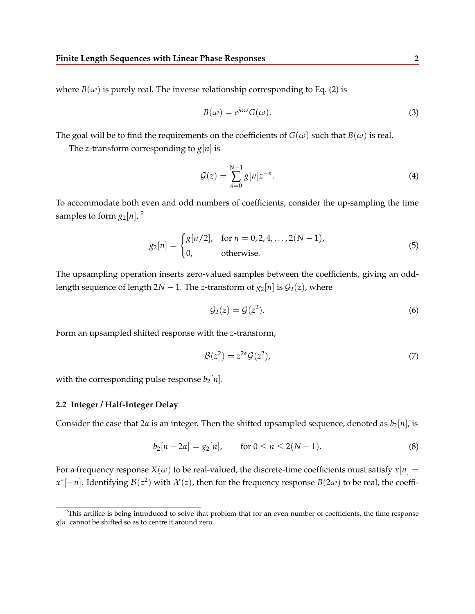where  $B(\omega)$  is purely real. The inverse relationship corresponding to Eq. (2) is

$$
B(\omega) = e^{j\alpha\omega} G(\omega).
$$
 (3)

The goal will be to find the requirements on the coefficients of  $G(\omega)$  such that  $B(\omega)$  is real.

The *z*-transform corresponding to  $g[n]$  is

$$
\mathcal{G}(z) = \sum_{n=0}^{N-1} g[n] z^{-n}.
$$
 (4)

To accommodate both even and odd numbers of coefficients, consider the up-sampling the time samples to form  $g_2[n]$ , <sup>2</sup>

$$
g_2[n] = \begin{cases} g[n/2], & \text{for } n = 0, 2, 4, ..., 2(N-1), \\ 0, & \text{otherwise.} \end{cases}
$$
(5)

The upsampling operation inserts zero-valued samples between the coefficients, giving an oddlength sequence of length  $2N - 1$ . The *z*-transform of  $g_2[n]$  is  $\mathcal{G}_2(z)$ , where

$$
\mathcal{G}_2(z) = \mathcal{G}(z^2). \tag{6}
$$

Form an upsampled shifted response with the *z*-transform,

$$
\mathcal{B}(z^2) = z^{2\alpha} \mathcal{G}(z^2),\tag{7}
$$

with the corresponding pulse response  $b_2[n]$ .

### **2.2 Integer / Half-Integer Delay**

Consider the case that  $2\alpha$  is an integer. Then the shifted upsampled sequence, denoted as  $b_2[n]$ , is

$$
b_2[n - 2\alpha] = g_2[n], \quad \text{for } 0 \le n \le 2(N - 1). \tag{8}
$$

For a frequency response  $X(\omega)$  to be real-valued, the discrete-time coefficients must satisfy  $x[n] =$  $x^*[-n]$ . Identifying  $\mathcal{B}(z^2)$  with  $\mathcal{X}(z)$ , then for the frequency response  $B(2\omega)$  to be real, the coeffi-

<sup>&</sup>lt;sup>2</sup>This artifice is being introduced to solve that problem that for an even number of coefficients, the time response *g*[*n*] cannot be shifted so as to centre it around zero.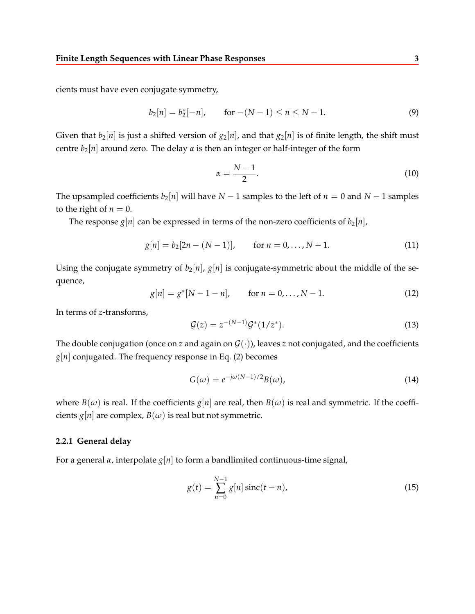cients must have even conjugate symmetry,

$$
b_2[n] = b_2^*[-n], \qquad \text{for } -(N-1) \le n \le N-1. \tag{9}
$$

Given that  $b_2[n]$  is just a shifted version of  $g_2[n]$ , and that  $g_2[n]$  is of finite length, the shift must centre  $b_2[n]$  around zero. The delay  $\alpha$  is then an integer or half-integer of the form

$$
\alpha = \frac{N-1}{2}.\tag{10}
$$

The upsampled coefficients  $b_2[n]$  will have  $N-1$  samples to the left of  $n=0$  and  $N-1$  samples to the right of  $n = 0$ .

The response  $g[n]$  can be expressed in terms of the non-zero coefficients of  $b_2[n]$ ,

$$
g[n] = b_2[2n - (N - 1)], \qquad \text{for } n = 0, \dots, N - 1. \tag{11}
$$

Using the conjugate symmetry of  $b_2[n]$ ,  $g[n]$  is conjugate-symmetric about the middle of the sequence,

$$
g[n] = g^*[N - 1 - n], \quad \text{for } n = 0, ..., N - 1.
$$
 (12)

In terms of *z*-transforms,

$$
\mathcal{G}(z) = z^{-(N-1)}\mathcal{G}^*(1/z^*). \tag{13}
$$

The double conjugation (once on *z* and again on  $\mathcal{G}(\cdot)$ ), leaves *z* not conjugated, and the coefficients  $g[n]$  conjugated. The frequency response in Eq. (2) becomes

$$
G(\omega) = e^{-j\omega(N-1)/2}B(\omega),
$$
\n(14)

where  $B(\omega)$  is real. If the coefficients  $g[n]$  are real, then  $B(\omega)$  is real and symmetric. If the coefficients  $g[n]$  are complex,  $B(\omega)$  is real but not symmetric.

### **2.2.1 General delay**

For a general *α*, interpolate *g*[*n*] to form a bandlimited continuous-time signal,

$$
g(t) = \sum_{n=0}^{N-1} g[n] \operatorname{sinc}(t - n),
$$
\n(15)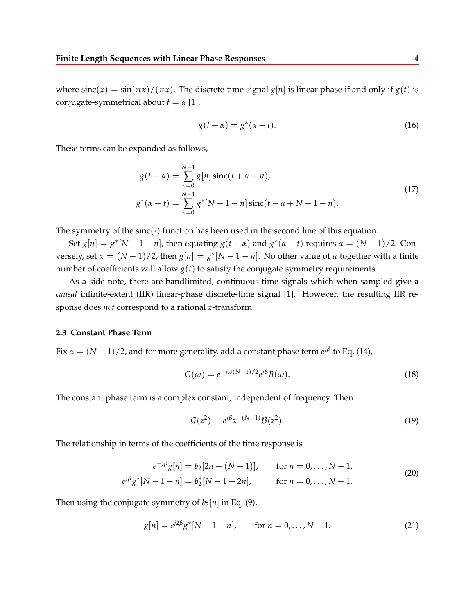where  $\text{sinc}(x) = \sin(\pi x) / (\pi x)$ . The discrete-time signal  $g[n]$  is linear phase if and only if  $g(t)$  is conjugate-symmetrical about  $t = \alpha$  [1],

$$
g(t + \alpha) = g^*(\alpha - t). \tag{16}
$$

These terms can be expanded as follows,

$$
g(t + \alpha) = \sum_{n=0}^{N-1} g[n] \operatorname{sinc}(t + \alpha - n),
$$
  
\n
$$
g^*(\alpha - t) = \sum_{n=0}^{N-1} g^*[N - 1 - n] \operatorname{sinc}(t - \alpha + N - 1 - n).
$$
\n(17)

The symmetry of the  $sinc(\cdot)$  function has been used in the second line of this equation.

Set  $g[n] = g^*[N-1-n]$ , then equating  $g(t+\alpha)$  and  $g^*(\alpha-t)$  requires  $\alpha = (N-1)/2$ . Conversely, set  $\alpha = (N-1)/2$ , then  $g[n] = g^*[N-1-n]$ . No other value of  $\alpha$  together with a finite number of coefficients will allow  $g(t)$  to satisfy the conjugate symmetry requirements.

As a side note, there are bandlimited, continuous-time signals which when sampled give a *causal* infinite-extent (IIR) linear-phase discrete-time signal [1]. However, the resulting IIR response does *not* correspond to a rational *z*-transform.

## **2.3 Constant Phase Term**

Fix  $\alpha = (N-1)/2$ , and for more generality, add a constant phase term  $e^{j\beta}$  to Eq. (14),

$$
G(\omega) = e^{-j\omega(N-1)/2} e^{j\beta} B(\omega).
$$
\n(18)

The constant phase term is a complex constant, independent of frequency. Then

$$
\mathcal{G}(z^2) = e^{j\beta} z^{-(N-1)} \mathcal{B}(z^2).
$$
 (19)

The relationship in terms of the coefficients of the time response is

$$
e^{-j\beta}g[n] = b_2[2n - (N-1)], \quad \text{for } n = 0, ..., N-1,
$$
  
\n
$$
e^{j\beta}g^*[N-1-n] = b_2^*[N-1-2n], \quad \text{for } n = 0, ..., N-1.
$$
\n(20)

Then using the conjugate symmetry of  $b_2[n]$  in Eq. (9),

$$
g[n] = e^{j2\beta} g^*[N - 1 - n], \quad \text{for } n = 0, ..., N - 1.
$$
 (21)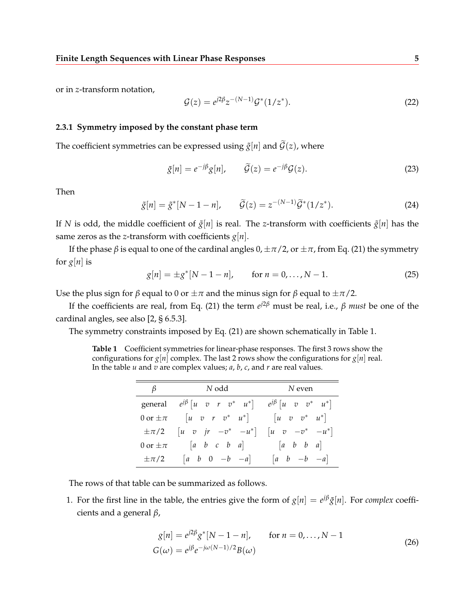or in *z*-transform notation,

$$
\mathcal{G}(z) = e^{j2\beta} z^{-(N-1)} \mathcal{G}^*(1/z^*).
$$
 (22)

## **2.3.1 Symmetry imposed by the constant phase term**

The coefficient symmetries can be expressed using  $\tilde{g}[n]$  and  $\tilde{G}(z)$ , where

$$
\tilde{g}[n] = e^{-j\beta}g[n], \qquad \tilde{G}(z) = e^{-j\beta}G(z). \tag{23}
$$

Then

$$
\tilde{g}[n] = \tilde{g}^*[N - 1 - n], \qquad \tilde{\mathcal{G}}(z) = z^{-(N-1)}\tilde{\mathcal{G}}^*(1/z^*). \tag{24}
$$

If *N* is odd, the middle coefficient of  $\tilde{g}[n]$  is real. The *z*-transform with coefficients  $\tilde{g}[n]$  has the same zeros as the *z*-transform with coefficients  $g[n]$ .

If the phase  $\beta$  is equal to one of the cardinal angles  $0, \pm \pi/2$ , or  $\pm \pi$ , from Eq. (21) the symmetry for  $g[n]$  is

$$
g[n] = \pm g^*[N-1-n], \quad \text{for } n = 0, \dots, N-1.
$$
 (25)

Use the plus sign for *β* equal to 0 or  $\pm \pi$  and the minus sign for *β* equal to  $\pm \pi/2$ .

If the coefficients are real, from Eq. (21) the term  $e^{j2\beta}$  must be real, i.e.,  $\beta$  *must* be one of the cardinal angles, see also [2, § 6.5.3].

The symmetry constraints imposed by Eq. (21) are shown schematically in Table 1.

**Table 1** Coefficient symmetries for linear-phase responses. The first 3 rows show the configurations for  $g[n]$  complex. The last 2 rows show the configurations for  $g[n]$  real. In the table *u* and *v* are complex values; *a*, *b*, *c*, and *r* are real values.

| $\beta$        | $N$ odd                                                                    | N even                                                         |
|----------------|----------------------------------------------------------------------------|----------------------------------------------------------------|
|                |                                                                            |                                                                |
|                | general $e^{j\beta}$ $\begin{bmatrix} u & v & r & v^* & u^* \end{bmatrix}$ | $e^{j\beta}$ $\begin{bmatrix} u & v & v^* & u^* \end{bmatrix}$ |
|                | $0 \text{ or } \pm \pi$ $\left  u \right  v r v^* u^* \right $             | $ u v v^* u^* $                                                |
| $\pm \pi/2$    | $\begin{bmatrix} u & v & jr & -v^* & -u^* \end{bmatrix}$                   | $\begin{bmatrix} u & v & -v^* & -u^* \end{bmatrix}$            |
| 0 or $\pm \pi$ | $ a\ b\ c\ b\ a $                                                          | $[a \quad b \quad b \quad a]$                                  |
| $\pm \pi/2$    | $ a \quad b \quad 0 \quad -b \quad -a $                                    | $\begin{bmatrix} a & b & -b & -a \end{bmatrix}$                |

The rows of that table can be summarized as follows.

1. For the first line in the table, the entries give the form of  $g[n] = e^{j\beta} \tilde{g}[n]$ . For *complex* coefficients and a general *β*,

$$
g[n] = e^{j2\beta} g^*[N - 1 - n], \quad \text{for } n = 0, ..., N - 1
$$
  

$$
G(\omega) = e^{j\beta} e^{-j\omega(N-1)/2} B(\omega)
$$
 (26)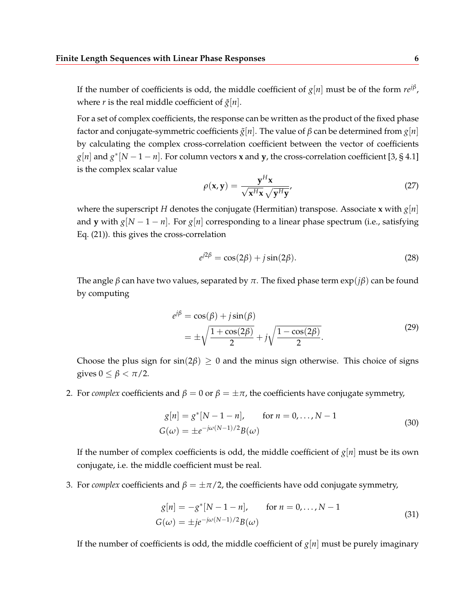If the number of coefficients is odd, the middle coefficient of  $g[n]$  must be of the form  $\mathit{rel}^{\beta}$ , where *r* is the real middle coefficient of  $\tilde{g}[n]$ .

For a set of complex coefficients, the response can be written as the product of the fixed phase factor and conjugate-symmetric coefficients  $\tilde{g}[n]$ . The value of  $\beta$  can be determined from  $g[n]$ by calculating the complex cross-correlation coefficient between the vector of coefficients  $g[n]$  and  $g^*[N-1-n]$ . For column vectors **x** and **y**, the cross-correlation coefficient [3, § 4.1] is the complex scalar value

$$
\rho(\mathbf{x}, \mathbf{y}) = \frac{\mathbf{y}^H \mathbf{x}}{\sqrt{\mathbf{x}^H \mathbf{x}} \sqrt{\mathbf{y}^H \mathbf{y}}},
$$
(27)

where the superscript *H* denotes the conjugate (Hermitian) transpose. Associate **x** with  $g[n]$ and **y** with  $g[N-1-n]$ . For  $g[n]$  corresponding to a linear phase spectrum (i.e., satisfying Eq. (21)). this gives the cross-correlation

$$
e^{j2\beta} = \cos(2\beta) + j\sin(2\beta). \tag{28}
$$

The angle *β* can have two values, separated by *π*. The fixed phase term exp(*jβ*) can be found by computing

$$
e^{j\beta} = \cos(\beta) + j\sin(\beta)
$$
  
= 
$$
\pm \sqrt{\frac{1 + \cos(2\beta)}{2}} + j\sqrt{\frac{1 - \cos(2\beta)}{2}}.
$$
 (29)

Choose the plus sign for  $sin(2\beta) \ge 0$  and the minus sign otherwise. This choice of signs gives  $0 \leq \beta < \pi/2$ .

2. For *complex* coefficients and  $\beta = 0$  or  $\beta = \pm \pi$ , the coefficients have conjugate symmetry,

$$
g[n] = g^*[N - 1 - n], \quad \text{for } n = 0, ..., N - 1
$$
  

$$
G(\omega) = \pm e^{-j\omega(N-1)/2}B(\omega)
$$
 (30)

If the number of complex coefficients is odd, the middle coefficient of  $g[n]$  must be its own conjugate, i.e. the middle coefficient must be real.

3. For *complex* coefficients and  $\beta = \pm \pi/2$ , the coefficients have odd conjugate symmetry,

$$
g[n] = -g^*[N - 1 - n], \quad \text{for } n = 0, ..., N - 1
$$
  

$$
G(\omega) = \pm je^{-j\omega(N-1)/2}B(\omega)
$$
 (31)

If the number of coefficients is odd, the middle coefficient of  $g[n]$  must be purely imaginary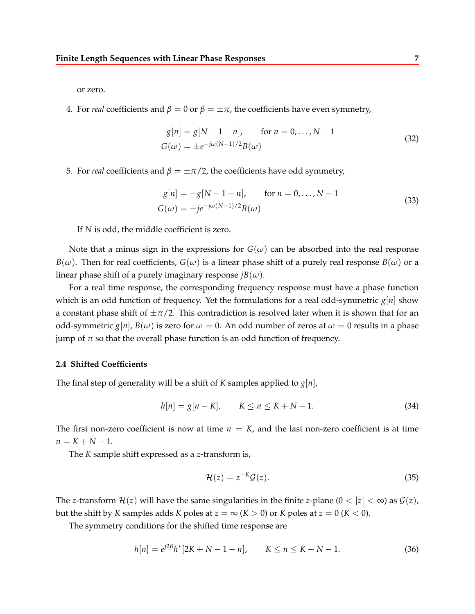or zero.

4. For *real* coefficients and  $\beta = 0$  or  $\beta = \pm \pi$ , the coefficients have even symmetry,

$$
g[n] = g[N - 1 - n], \quad \text{for } n = 0, ..., N - 1
$$
  

$$
G(\omega) = \pm e^{-j\omega(N - 1)/2} B(\omega)
$$
 (32)

5. For *real* coefficients and  $β = ±π/2$ , the coefficients have odd symmetry,

$$
g[n] = -g[N-1-n], \quad \text{for } n = 0,..., N-1
$$
  
\n
$$
G(\omega) = \pm j e^{-j\omega(N-1)/2} B(\omega)
$$
\n(33)

If *N* is odd, the middle coefficient is zero.

Note that a minus sign in the expressions for  $G(\omega)$  can be absorbed into the real response  $B(\omega)$ . Then for real coefficients,  $G(\omega)$  is a linear phase shift of a purely real response  $B(\omega)$  or a linear phase shift of a purely imaginary response  $jB(\omega)$ .

For a real time response, the corresponding frequency response must have a phase function which is an odd function of frequency. Yet the formulations for a real odd-symmetric *g*[*n*] show a constant phase shift of  $\pm \pi/2$ . This contradiction is resolved later when it is shown that for an odd-symmetric  $g[n]$ ,  $B(\omega)$  is zero for  $\omega = 0$ . An odd number of zeros at  $\omega = 0$  results in a phase jump of  $\pi$  so that the overall phase function is an odd function of frequency.

#### **2.4 Shifted Coefficients**

The final step of generality will be a shift of *K* samples applied to *g*[*n*],

$$
h[n] = g[n - K], \qquad K \le n \le K + N - 1. \tag{34}
$$

The first non-zero coefficient is now at time  $n = K$ , and the last non-zero coefficient is at time  $n = K + N - 1$ .

The *K* sample shift expressed as a *z*-transform is,

$$
\mathcal{H}(z) = z^{-K} \mathcal{G}(z). \tag{35}
$$

The *z*-transform  $\mathcal{H}(z)$  will have the same singularities in the finite *z*-plane  $(0 < |z| < \infty)$  as  $\mathcal{G}(z)$ , but the shift by *K* samples adds *K* poles at  $z = \infty$  (*K* > 0) or *K* poles at  $z = 0$  (*K* < 0).

The symmetry conditions for the shifted time response are

$$
h[n] = e^{j2\beta}h^*[2K + N - 1 - n], \qquad K \le n \le K + N - 1. \tag{36}
$$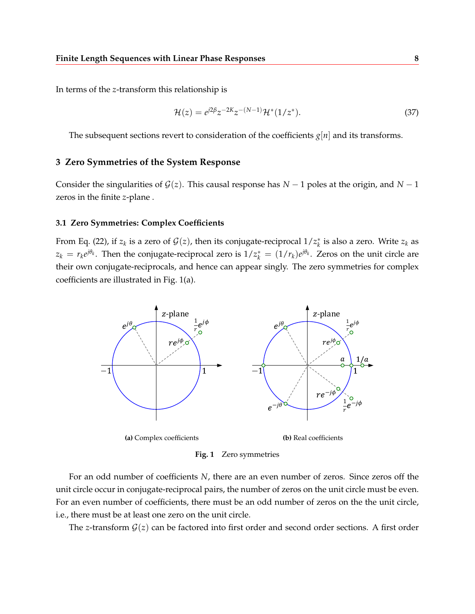In terms of the *z*-transform this relationship is

$$
\mathcal{H}(z) = e^{j2\beta} z^{-2K} z^{-(N-1)} \mathcal{H}^*(1/z^*).
$$
\n(37)

The subsequent sections revert to consideration of the coefficients  $g[n]$  and its transforms.

## **3 Zero Symmetries of the System Response**

Consider the singularities of  $G(z)$ . This causal response has  $N-1$  poles at the origin, and  $N-1$ zeros in the finite *z*-plane .

#### **3.1 Zero Symmetries: Complex Coefficients**

From Eq. (22), if  $z_k$  is a zero of  $\mathcal{G}(z)$ , then its conjugate-reciprocal  $1/z_k^*$  is also a zero. Write  $z_k$  as  $z_k = r_k e^{j\theta_k}$ . Then the conjugate-reciprocal zero is  $1/z_k^* = (1/r_k)e^{j\theta_k}$ . Zeros on the unit circle are their own conjugate-reciprocals, and hence can appear singly. The zero symmetries for complex coefficients are illustrated in Fig. 1(a).



**Fig. 1** Zero symmetries

For an odd number of coefficients *N*, there are an even number of zeros. Since zeros off the unit circle occur in conjugate-reciprocal pairs, the number of zeros on the unit circle must be even. For an even number of coefficients, there must be an odd number of zeros on the the unit circle, i.e., there must be at least one zero on the unit circle.

The *z*-transform  $G(z)$  can be factored into first order and second order sections. A first order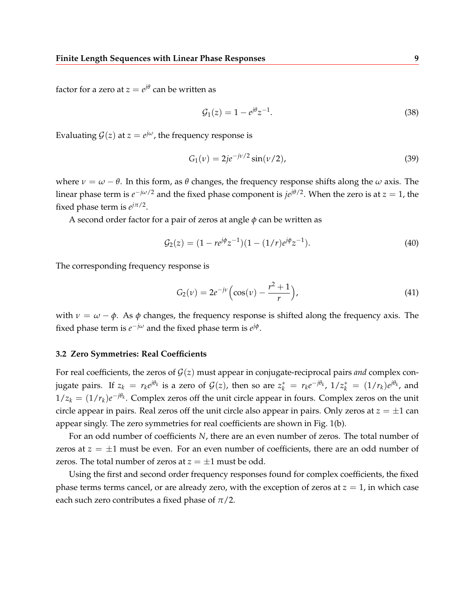factor for a zero at  $z = e^{j\theta}$  can be written as

$$
G_1(z) = 1 - e^{j\theta} z^{-1}.
$$
\n(38)

Evaluating  $\mathcal{G}(z)$  at  $z = e^{j\omega}$ , the frequency response is

$$
G_1(\nu) = 2j e^{-j\nu/2} \sin(\nu/2), \tag{39}
$$

where  $\nu = \omega - \theta$ . In this form, as  $\theta$  changes, the frequency response shifts along the  $\omega$  axis. The linear phase term is  $e^{-j\omega/2}$  and the fixed phase component is  $j e^{j\theta/2}$ . When the zero is at  $z = 1$ , the fixed phase term is  $e^{j\pi/2}$ .

A second order factor for a pair of zeros at angle  $\phi$  can be written as

$$
\mathcal{G}_2(z) = (1 - re^{j\phi} z^{-1})(1 - (1/r)e^{j\phi} z^{-1}).\tag{40}
$$

The corresponding frequency response is

$$
G_2(\nu) = 2e^{-j\nu} \left( \cos(\nu) - \frac{r^2 + 1}{r} \right),\tag{41}
$$

with  $\nu = \omega - \phi$ . As  $\phi$  changes, the frequency response is shifted along the frequency axis. The fixed phase term is  $e^{-j\omega}$  and the fixed phase term is  $e^{j\phi}$ .

#### **3.2 Zero Symmetries: Real Coefficients**

For real coefficients, the zeros of  $\mathcal{G}(z)$  must appear in conjugate-reciprocal pairs *and* complex conjugate pairs. If  $z_k = r_k e^{j\theta_k}$  is a zero of  $\mathcal{G}(z)$ , then so are  $z_k^* = r_k e^{-j\theta_k}$ ,  $1/z_k^* = (1/r_k) e^{j\theta_k}$ , and  $1/z_k = (1/r_k)e^{-j\theta_k}$ . Complex zeros off the unit circle appear in fours. Complex zeros on the unit circle appear in pairs. Real zeros off the unit circle also appear in pairs. Only zeros at  $z = \pm 1$  can appear singly. The zero symmetries for real coefficients are shown in Fig. 1(b).

For an odd number of coefficients *N*, there are an even number of zeros. The total number of zeros at  $z = \pm 1$  must be even. For an even number of coefficients, there are an odd number of zeros. The total number of zeros at  $z = \pm 1$  must be odd.

Using the first and second order frequency responses found for complex coefficients, the fixed phase terms terms cancel, or are already zero, with the exception of zeros at  $z = 1$ , in which case each such zero contributes a fixed phase of  $\pi/2$ .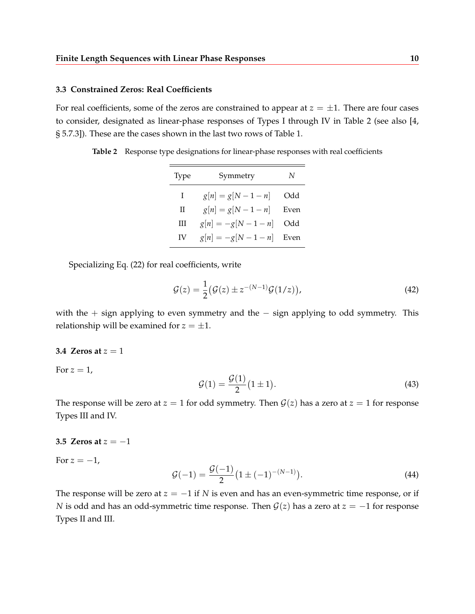## **3.3 Constrained Zeros: Real Coefficients**

For real coefficients, some of the zeros are constrained to appear at  $z = \pm 1$ . There are four cases to consider, designated as linear-phase responses of Types I through IV in Table 2 (see also [4, § 5.7.3]). These are the cases shown in the last two rows of Table 1.

**Table 2** Response type designations for linear-phase responses with real coefficients

| 'lype | Symmetry           | N    |
|-------|--------------------|------|
| T     | $g[n] = g[N-1-n]$  | Odd  |
| Н     | $g[n] = g[N-1-n]$  | Even |
| Ш     | $g[n] = -g[N-1-n]$ | Odd  |
| IV    | $g[n] = -g[N-1-n]$ | Even |

Specializing Eq. (22) for real coefficients, write

$$
\mathcal{G}(z) = \frac{1}{2} \big( \mathcal{G}(z) \pm z^{-(N-1)} \mathcal{G}(1/z) \big),\tag{42}
$$

with the  $+$  sign applying to even symmetry and the  $-$  sign applying to odd symmetry. This relationship will be examined for  $z = \pm 1$ .

#### **3.4 Zeros at**  $z = 1$

For  $z=1$ ,

$$
\mathcal{G}(1) = \frac{\mathcal{G}(1)}{2}(1 \pm 1). \tag{43}
$$

The response will be zero at  $z = 1$  for odd symmetry. Then  $\mathcal{G}(z)$  has a zero at  $z = 1$  for response Types III and IV.

#### **3.5 Zeros at**  $z = -1$

For  $z = -1$ ,

$$
\mathcal{G}(-1) = \frac{\mathcal{G}(-1)}{2} \left(1 \pm (-1)^{-(N-1)}\right). \tag{44}
$$

The response will be zero at *z* = −1 if *N* is even and has an even-symmetric time response, or if *N* is odd and has an odd-symmetric time response. Then  $G(z)$  has a zero at  $z = -1$  for response Types II and III.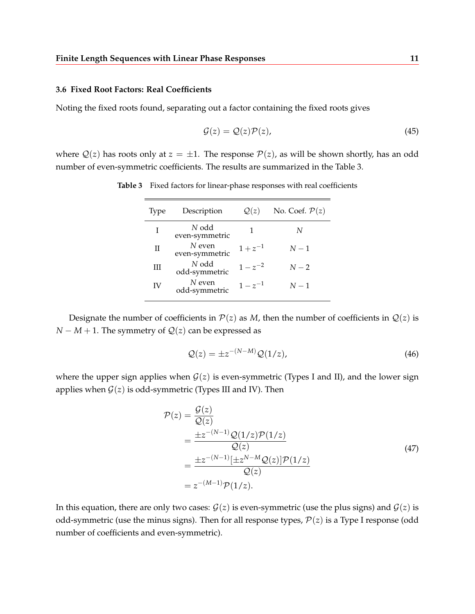#### **3.6 Fixed Root Factors: Real Coefficients**

Noting the fixed roots found, separating out a factor containing the fixed roots gives

$$
\mathcal{G}(z) = \mathcal{Q}(z)\mathcal{P}(z),\tag{45}
$$

where  $Q(z)$  has roots only at  $z = \pm 1$ . The response  $P(z)$ , as will be shown shortly, has an odd number of even-symmetric coefficients. The results are summarized in the Table 3.

| <b>Type</b> | Description              | Q(z)         | No. Coef. $\mathcal{P}(z)$ |
|-------------|--------------------------|--------------|----------------------------|
|             | N odd<br>even-symmetric  |              | N                          |
| П           | N even<br>even-symmetric | $1 + z^{-1}$ | $N-1$                      |
| Ш           | N odd<br>odd-symmetric   | $1 - z^{-2}$ | $N-2$                      |
|             | N even<br>$\blacksquare$ | $1 - z^{-1}$ | $N-1$                      |

**Table 3** Fixed factors for linear-phase responses with real coefficients

Designate the number of coefficients in  $P(z)$  as *M*, then the number of coefficients in  $Q(z)$  is *N* − *M* + 1. The symmetry of  $Q(z)$  can be expressed as

odd-symmetric <sup>1</sup> <sup>−</sup> *<sup>z</sup>*

$$
Q(z) = \pm z^{-(N-M)} Q(1/z),
$$
\n(46)

where the upper sign applies when  $G(z)$  is even-symmetric (Types I and II), and the lower sign applies when  $G(z)$  is odd-symmetric (Types III and IV). Then

$$
\mathcal{P}(z) = \frac{\mathcal{G}(z)}{\mathcal{Q}(z)} \n= \frac{\pm z^{-(N-1)} \mathcal{Q}(1/z) \mathcal{P}(1/z)}{\mathcal{Q}(z)} \n= \frac{\pm z^{-(N-1)} [\pm z^{N-M} \mathcal{Q}(z)] \mathcal{P}(1/z)}{\mathcal{Q}(z)} \n= z^{-(M-1)} \mathcal{P}(1/z).
$$
\n(47)

In this equation, there are only two cases:  $G(z)$  is even-symmetric (use the plus signs) and  $G(z)$  is odd-symmetric (use the minus signs). Then for all response types,  $P(z)$  is a Type I response (odd number of coefficients and even-symmetric).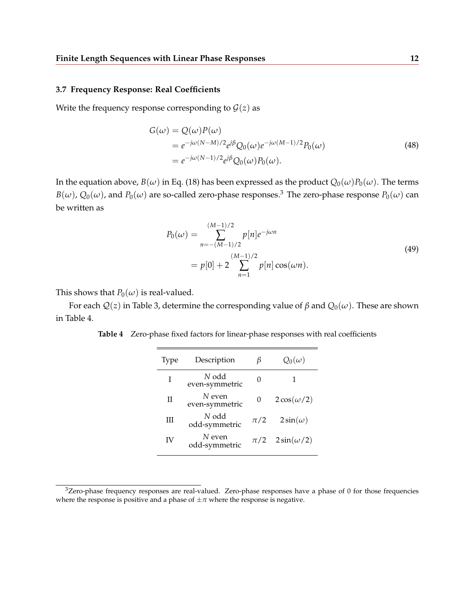## **3.7 Frequency Response: Real Coefficients**

Write the frequency response corresponding to  $\mathcal{G}(z)$  as

$$
G(\omega) = Q(\omega)P(\omega)
$$
  
=  $e^{-j\omega(N-M)/2}e^{j\beta}Q_0(\omega)e^{-j\omega(M-1)/2}P_0(\omega)$   
=  $e^{-j\omega(N-1)/2}e^{j\beta}Q_0(\omega)P_0(\omega).$  (48)

In the equation above,  $B(\omega)$  in Eq. (18) has been expressed as the product  $Q_0(\omega)P_0(\omega)$ . The terms  $B(\omega)$ ,  $Q_0(\omega)$ , and  $P_0(\omega)$  are so-called zero-phase responses.<sup>3</sup> The zero-phase response  $P_0(\omega)$  can be written as

$$
P_0(\omega) = \sum_{n=-(M-1)/2}^{(M-1)/2} p[n] e^{-j\omega n}
$$
  
=  $p[0] + 2 \sum_{n=1}^{(M-1)/2} p[n] \cos(\omega n).$  (49)

This shows that  $P_0(\omega)$  is real-valued.

For each  $Q(z)$  in Table 3, determine the corresponding value of *β* and  $Q_0(\omega)$ . These are shown in Table 4.

**Table 4** Zero-phase fixed factors for linear-phase responses with real coefficients

| 'lype | Description                | В        | $Q_0(\omega)$     |
|-------|----------------------------|----------|-------------------|
| T     | N odd<br>even-symmetric    |          |                   |
| Н     | $N$ even<br>even-symmetric | $\theta$ | $2\cos(\omega/2)$ |
| H     | N odd<br>odd-symmetric     | $\pi/2$  | $2\sin(\omega)$   |
| IV    | $N$ even<br>odd-symmetric  | $\pi/2$  | $2\sin(\omega/2)$ |

<sup>3</sup>Zero-phase frequency responses are real-valued. Zero-phase responses have a phase of 0 for those frequencies where the response is positive and a phase of  $\pm \pi$  where the response is negative.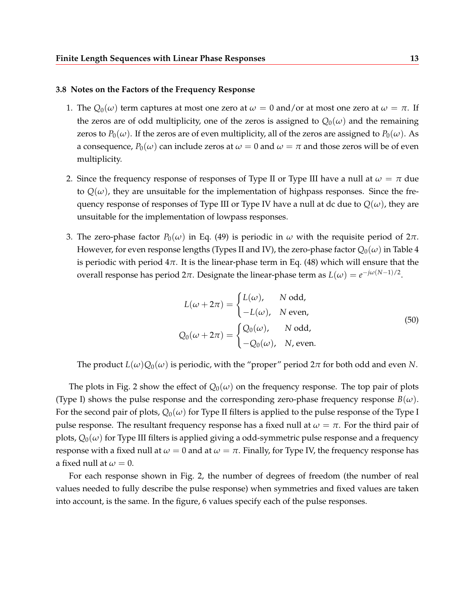#### **3.8 Notes on the Factors of the Frequency Response**

- 1. The  $Q_0(\omega)$  term captures at most one zero at  $\omega = 0$  and/or at most one zero at  $\omega = \pi$ . If the zeros are of odd multiplicity, one of the zeros is assigned to  $Q_0(\omega)$  and the remaining zeros to  $P_0(\omega)$ . If the zeros are of even multiplicity, all of the zeros are assigned to  $P_0(\omega)$ . As a consequence,  $P_0(\omega)$  can include zeros at  $\omega = 0$  and  $\omega = \pi$  and those zeros will be of even multiplicity.
- 2. Since the frequency response of responses of Type II or Type III have a null at  $\omega = \pi$  due to  $Q(\omega)$ , they are unsuitable for the implementation of highpass responses. Since the frequency response of responses of Type III or Type IV have a null at dc due to  $Q(\omega)$ , they are unsuitable for the implementation of lowpass responses.
- 3. The zero-phase factor  $P_0(\omega)$  in Eq. (49) is periodic in  $\omega$  with the requisite period of 2π. However, for even response lengths (Types II and IV), the zero-phase factor  $Q_0(\omega)$  in Table 4 is periodic with period  $4\pi$ . It is the linear-phase term in Eq. (48) which will ensure that the overall response has period  $2\pi$ . Designate the linear-phase term as  $L(\omega) = e^{-j\omega(N-1)/2}$ .

$$
L(\omega + 2\pi) = \begin{cases} L(\omega), & N \text{ odd}, \\ -L(\omega), & N \text{ even}, \end{cases}
$$
  
 
$$
Q_0(\omega + 2\pi) = \begin{cases} Q_0(\omega), & N \text{ odd}, \\ -Q_0(\omega), & N, \text{ even}. \end{cases}
$$
 (50)

The product  $L(\omega)Q_0(\omega)$  is periodic, with the "proper" period  $2\pi$  for both odd and even *N*.

The plots in Fig. 2 show the effect of  $Q_0(\omega)$  on the frequency response. The top pair of plots (Type I) shows the pulse response and the corresponding zero-phase frequency response  $B(\omega)$ . For the second pair of plots,  $Q_0(\omega)$  for Type II filters is applied to the pulse response of the Type I pulse response. The resultant frequency response has a fixed null at  $\omega = \pi$ . For the third pair of plots,  $Q_0(\omega)$  for Type III filters is applied giving a odd-symmetric pulse response and a frequency response with a fixed null at  $\omega = 0$  and at  $\omega = \pi$ . Finally, for Type IV, the frequency response has a fixed null at  $\omega = 0$ .

For each response shown in Fig. 2, the number of degrees of freedom (the number of real values needed to fully describe the pulse response) when symmetries and fixed values are taken into account, is the same. In the figure, 6 values specify each of the pulse responses.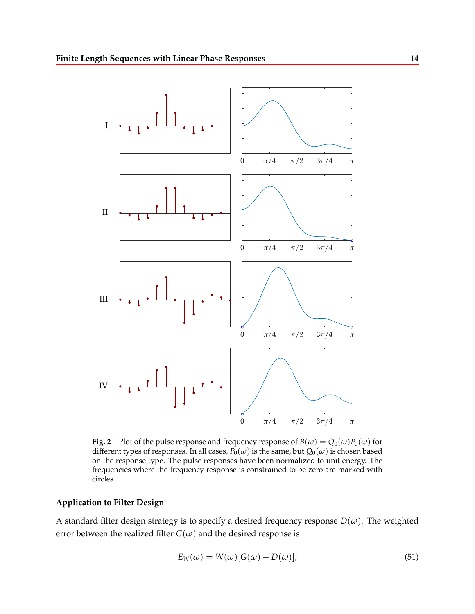

**Fig. 2** Plot of the pulse response and frequency response of  $B(\omega) = Q_0(\omega)P_0(\omega)$  for different types of responses. In all cases,  $P_0(\omega)$  is the same, but  $Q_0(\omega)$  is chosen based on the response type. The pulse responses have been normalized to unit energy. The frequencies where the frequency response is constrained to be zero are marked with circles.

## **Application to Filter Design**

A standard filter design strategy is to specify a desired frequency response  $D(\omega)$ . The weighted error between the realized filter  $G(\omega)$  and the desired response is

$$
E_W(\omega) = W(\omega)[G(\omega) - D(\omega)],
$$
\n(51)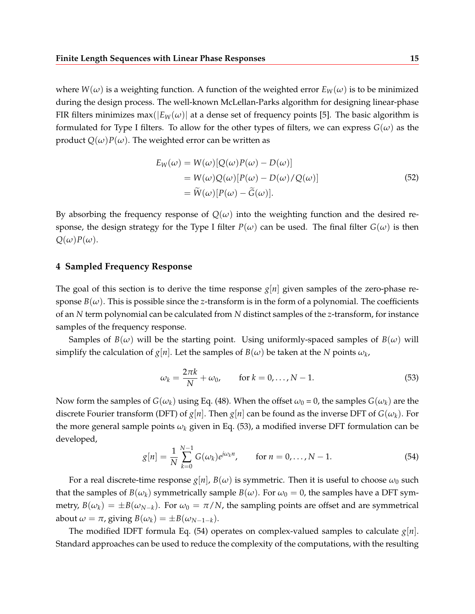where  $W(\omega)$  is a weighting function. A function of the weighted error  $E_W(\omega)$  is to be minimized during the design process. The well-known McLellan-Parks algorithm for designing linear-phase FIR filters minimizes max( $|E_W(\omega)|$  at a dense set of frequency points [5]. The basic algorithm is formulated for Type I filters. To allow for the other types of filters, we can express  $G(\omega)$  as the product  $Q(\omega)P(\omega)$ . The weighted error can be written as

$$
E_W(\omega) = W(\omega)[Q(\omega)P(\omega) - D(\omega)]
$$
  
=  $W(\omega)Q(\omega)[P(\omega) - D(\omega)/Q(\omega)]$   
=  $\widetilde{W}(\omega)[P(\omega) - \widetilde{G}(\omega)].$  (52)

By absorbing the frequency response of  $Q(\omega)$  into the weighting function and the desired response, the design strategy for the Type I filter  $P(\omega)$  can be used. The final filter  $G(\omega)$  is then  $Q(\omega)P(\omega)$ .

## **4 Sampled Frequency Response**

The goal of this section is to derive the time response  $g[n]$  given samples of the zero-phase response  $B(\omega)$ . This is possible since the *z*-transform is in the form of a polynomial. The coefficients of an *N* term polynomial can be calculated from *N* distinct samples of the *z*-transform, for instance samples of the frequency response.

Samples of *B*( $\omega$ ) will be the starting point. Using uniformly-spaced samples of *B*( $\omega$ ) will simplify the calculation of  $g[n]$ . Let the samples of  $B(\omega)$  be taken at the *N* points  $\omega_k$ ,

$$
\omega_k = \frac{2\pi k}{N} + \omega_0, \qquad \text{for } k = 0, \dots, N-1.
$$
 (53)

Now form the samples of  $G(\omega_k)$  using Eq. (48). When the offset  $\omega_0 = 0$ , the samples  $G(\omega_k)$  are the discrete Fourier transform (DFT) of  $g[n]$ . Then  $g[n]$  can be found as the inverse DFT of  $G(\omega_k)$ . For the more general sample points  $\omega_k$  given in Eq. (53), a modified inverse DFT formulation can be developed,

$$
g[n] = \frac{1}{N} \sum_{k=0}^{N-1} G(\omega_k) e^{j\omega_k n}, \quad \text{for } n = 0, \dots, N-1.
$$
 (54)

For a real discrete-time response  $g[n]$ ,  $B(\omega)$  is symmetric. Then it is useful to choose  $\omega_0$  such that the samples of  $B(\omega_k)$  symmetrically sample  $B(\omega)$ . For  $\omega_0 = 0$ , the samples have a DFT symmetry,  $B(\omega_k) = \pm B(\omega_{N-k})$ . For  $\omega_0 = \pi/N$ , the sampling points are offset and are symmetrical about  $\omega = \pi$ , giving  $B(\omega_k) = \pm B(\omega_{N-1-k}).$ 

The modified IDFT formula Eq. (54) operates on complex-valued samples to calculate  $g[n]$ . Standard approaches can be used to reduce the complexity of the computations, with the resulting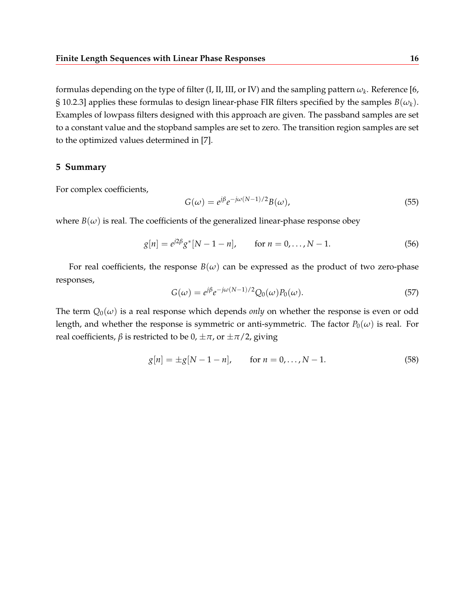formulas depending on the type of filter (I, II, III, or IV) and the sampling pattern  $\omega_k.$  Reference [6, § 10.2.3] applies these formulas to design linear-phase FIR filters specified by the samples  $B(\omega_k)$ . Examples of lowpass filters designed with this approach are given. The passband samples are set to a constant value and the stopband samples are set to zero. The transition region samples are set to the optimized values determined in [7].

## **5 Summary**

For complex coefficients,

$$
G(\omega) = e^{j\beta} e^{-j\omega(N-1)/2} B(\omega),
$$
\n(55)

where  $B(\omega)$  is real. The coefficients of the generalized linear-phase response obey

$$
g[n] = e^{j2\beta} g^*[N-1-n], \quad \text{for } n = 0, \dots, N-1.
$$
 (56)

For real coefficients, the response  $B(\omega)$  can be expressed as the product of two zero-phase responses,

$$
G(\omega) = e^{j\beta} e^{-j\omega(N-1)/2} Q_0(\omega) P_0(\omega).
$$
\n(57)

The term  $Q_0(\omega)$  is a real response which depends *only* on whether the response is even or odd length, and whether the response is symmetric or anti-symmetric. The factor  $P_0(\omega)$  is real. For real coefficients,  $\beta$  is restricted to be  $0, \pm \pi$ , or  $\pm \pi/2$ , giving

$$
g[n] = \pm g[N-1-n], \quad \text{for } n = 0, \dots, N-1.
$$
 (58)